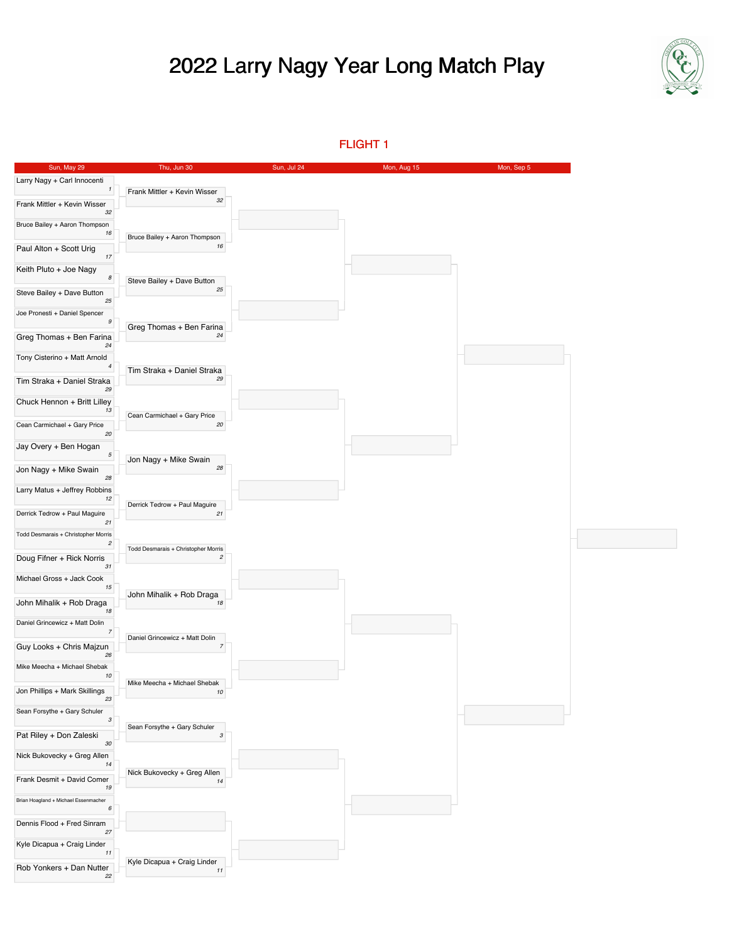## 2022 Larry Nagy Year Long Match Play



FLIGHT 1